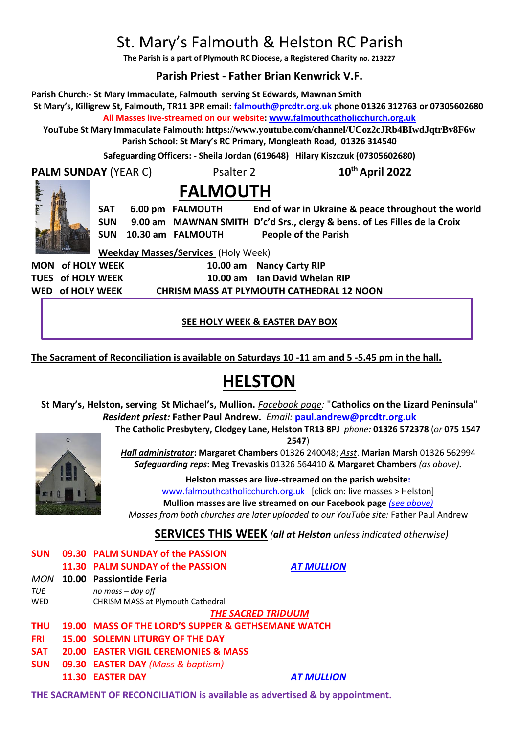## St. Mary's Falmouth & Helston RC Parish

**The Parish is a part of Plymouth RC Diocese, a Registered Charity no. 213227**

## **Parish Priest - Father Brian Kenwrick V.F.**

**Parish Church:- St Mary Immaculate, Falmouth serving St Edwards, Mawnan Smith**

**St Mary's, Killigrew St, Falmouth, TR11 3PR email: [falmouth@prcdtr.org.uk](mailto:falmouth@prcdtr.org.uk) phone 01326 312763 or 07305602680 All Masses live-streamed on our website[: www.falmouthcatholicchurch.org.uk](http://www.falmouthcatholicchurch.org.uk/)**

**YouTube St Mary Immaculate Falmouth: <https://www.youtube.com/channel/UCoz2cJRb4BIwdJqtrBv8F6w> Parish School: St Mary's RC Primary, Mongleath Road, 01326 314540**

**Safeguarding Officers: - Sheila Jordan (619648) Hilary Kiszczuk (07305602680)**

**PALM SUNDAY** (YEAR C) Psalter 2 **10th April 2022**

# **FALMOUTH**

**SAT 6.00 pm FALMOUTH End of war in Ukraine & peace throughout the world SUN 9.00 am MAWNAN SMITH D'c'd Srs., clergy & bens. of Les Filles de la Croix SUN 10.30 am FALMOUTH People of the Parish** 

**Weekday Masses/Services** (Holy Week)

**MON of HOLY WEEK 10.00 am Nancy Carty RIP TUES of HOLY WEEK 10.00 am Ian David Whelan RIP WED of HOLY WEEK CHRISM MASS AT PLYMOUTH CATHEDRAL 12 NOON** 

**SEE HOLY WEEK & EASTER DAY BOX**

**The Sacrament of Reconciliation is available on Saturdays 10 -11 am and 5 -5.45 pm in the hall.**

## **HELSTON**

**St Mary's, Helston, serving St Michael's, Mullion.** *Facebook page:* "**Catholics on the Lizard Peninsula**" *Resident priest:* **Father Paul Andrew.** *Email:* **[paul.andrew@prcdtr.org.uk](mailto:paul.andrew@prcdtr.org.uk)**



**2547**) *Hall administrator***: Margaret Chambers** 01326 240048; *Asst*. **Marian Marsh** 01326 562994 *Safeguarding reps***: Meg Trevaskis** 01326 564410 & **Margaret Chambers** *(as above)***.** 

**The Catholic Presbytery, Clodgey Lane, Helston TR13 8PJ** *phone:* **01326 572378** (*or* **075 1547** 

**Helston masses are live-streamed on the parish website:**  [www.falmouthcatholicchurch.org.uk](http://www.falmouthcatholicchurch.org.uk/) [click on: live masses > Helston] **Mullion masses are live streamed on our Facebook page** *(see above) Masses from both churches are later uploaded to our YouTube site:* Father Paul Andrew

**SERVICES THIS WEEK** *(all at Helston unless indicated otherwise)*

| <b>SUN</b> | 09.30 PALM SUNDAY of the PASSION                   |                   |
|------------|----------------------------------------------------|-------------------|
|            | 11.30 PALM SUNDAY of the PASSION                   | <b>AT MULLION</b> |
| MON        | 10.00 Passiontide Feria                            |                   |
| TUE        | no mass $-$ day off                                |                   |
| <b>WED</b> | CHRISM MASS at Plymouth Cathedral                  |                   |
|            | <b>THE SACRED TRIDUUM</b>                          |                   |
| <b>THU</b> | 19.00 MASS OF THE LORD'S SUPPER & GETHSEMANE WATCH |                   |
| <b>FRI</b> | <b>15.00 SOLEMN LITURGY OF THE DAY</b>             |                   |
| <b>SAT</b> | <b>20.00 EASTER VIGIL CEREMONIES &amp; MASS</b>    |                   |
| <b>SUN</b> | 09.30 EASTER DAY (Mass & baptism)                  |                   |
|            | <b>11.30 EASTER DAY</b>                            | <b>AT MULLION</b> |

**THE SACRAMENT OF RECONCILIATION is available as advertised & by appointment.**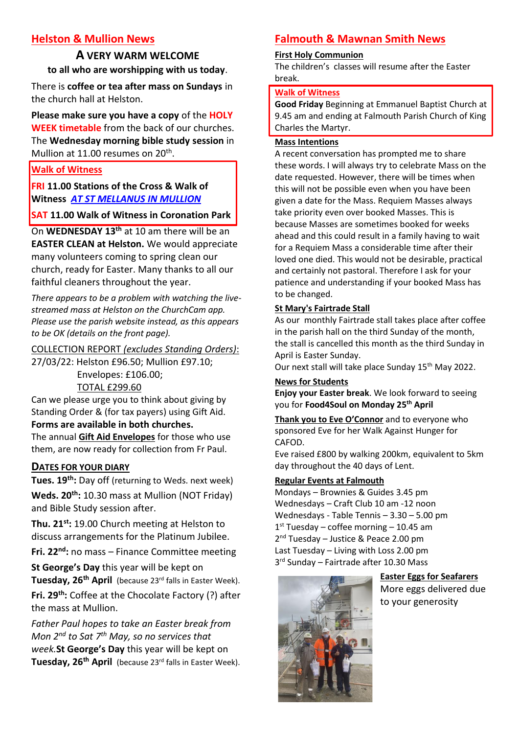## **Helston & Mullion News**

## **A VERY WARM WELCOME to all who are worshipping with us today**.

There is **coffee or tea after mass on Sundays** in the church hall at Helston.

**Please make sure you have a copy** of the **HOLY WEEK timetable** from the back of our churches. The **Wednesday morning bible study session** in Mullion at 11.00 resumes on 20<sup>th</sup>.

**Walk of Witness**

**FRI 11.00 Stations of the Cross & Walk of Witness** *AT ST MELLANUS IN MULLION*

**SAT 11.00 Walk of Witness in Coronation Park**

On **WEDNESDAY 13th** at 10 am there will be an

**EASTER CLEAN at Helston.** We would appreciate many volunteers coming to spring clean our church, ready for Easter. Many thanks to all our faithful cleaners throughout the year.

*There appears to be a problem with watching the livestreamed mass at Helston on the ChurchCam app. Please use the parish website instead, as this appears to be OK (details on the front page).*

COLLECTION REPORT *(excludes Standing Orders)*:

27/03/22: Helston £96.50; Mullion £97.10;

Envelopes: £106.00;

## TOTAL £299.60

Can we please urge you to think about giving by Standing Order & (for tax payers) using Gift Aid.

## **Forms are available in both churches.**

The annual **Gift Aid Envelopes** for those who use them, are now ready for collection from Fr Paul.

## **DATES FOR YOUR DIARY**

**Tues. 19th:** Day off (returning to Weds. next week) **Weds. 20th:** 10.30 mass at Mullion (NOT Friday) and Bible Study session after.

**Thu. 21st:** 19.00 Church meeting at Helston to discuss arrangements for the Platinum Jubilee.

**Fri. 22nd:** no mass – Finance Committee meeting

**St George's Day** this year will be kept on **Tuesday, 26th April** (because 23rd falls in Easter Week). Fri. 29<sup>th</sup>: Coffee at the Chocolate Factory (?) after the mass at Mullion.

*Father Paul hopes to take an Easter break from Mon 2nd to Sat 7th May, so no services that week.***St George's Day** this year will be kept on **Tuesday, 26th April** (because 23rd falls in Easter Week).

## **Falmouth & Mawnan Smith News**

## **First Holy Communion**

The children's classes will resume after the Easter break.

## **Walk of Witness**

**Good Friday** Beginning at Emmanuel Baptist Church at 9.45 am and ending at Falmouth Parish Church of King Charles the Martyr.

#### **Mass Intentions**

A recent conversation has prompted me to share these words. I will always try to celebrate Mass on the date requested. However, there will be times when this will not be possible even when you have been given a date for the Mass. Requiem Masses always take priority even over booked Masses. This is because Masses are sometimes booked for weeks ahead and this could result in a family having to wait for a Requiem Mass a considerable time after their loved one died. This would not be desirable, practical and certainly not pastoral. Therefore I ask for your patience and understanding if your booked Mass has to be changed.

## **St Mary's Fairtrade Stall**

As our monthly Fairtrade stall takes place after coffee in the parish hall on the third Sunday of the month, the stall is cancelled this month as the third Sunday in April is Easter Sunday.

Our next stall will take place Sunday 15<sup>th</sup> May 2022.

**News for Students Enjoy your Easter break**. We look forward to seeing you for **Food4Soul on Monday 25th April**

**Thank you to Eve O'Connor** and to everyone who sponsored Eve for her Walk Against Hunger for CAFOD.

Eve raised £800 by walking 200km, equivalent to 5km day throughout the 40 days of Lent.

## **Regular Events at Falmouth**

Mondays – Brownies & Guides 3.45 pm Wednesdays – Craft Club 10 am -12 noon Wednesdays - Table Tennis – 3.30 – 5.00 pm 1 st Tuesday – coffee morning – 10.45 am 2<sup>nd</sup> Tuesday - Justice & Peace 2.00 pm Last Tuesday – Living with Loss 2.00 pm 3 rd Sunday – Fairtrade after 10.30 Mass



**Easter Eggs for Seafarers** More eggs delivered due to your generosity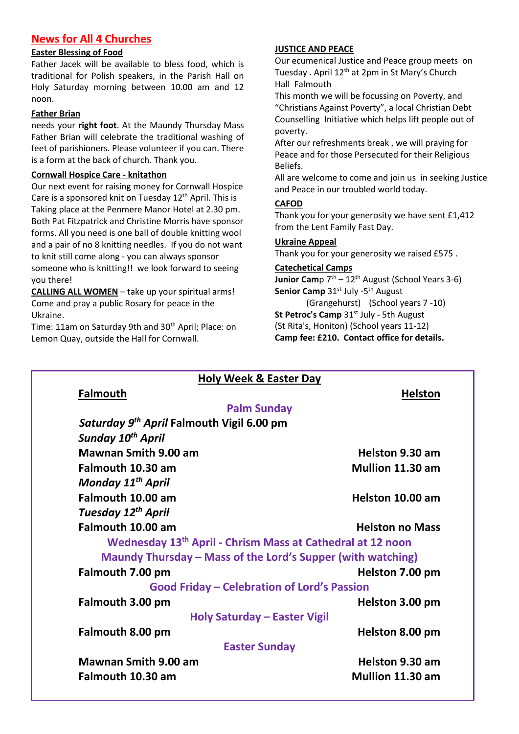## **News for All 4 Churches**

## **Easter Blessing of Food**

Father Jacek will be available to bless food, which is traditional for Polish speakers, in the Parish Hall on Holy Saturday morning between 10.00 am and 12 noon.

#### **Father Brian**

needs your **right foot**. At the Maundy Thursday Mass Father Brian will celebrate the traditional washing of feet of parishioners. Please volunteer if you can. There is a form at the back of church. Thank you.

#### **Cornwall Hospice Care - knitathon**

Our next event for raising money for Cornwall Hospice Care is a sponsored knit on Tuesday 12<sup>th</sup> April. This is Taking place at the Penmere Manor Hotel at 2.30 pm. Both Pat Fitzpatrick and Christine Morris have sponsor forms. All you need is one ball of double knitting wool and a pair of no 8 knitting needles. If you do not want to knit still come along - you can always sponsor someone who is knitting!! we look forward to seeing you there!

**CALLING ALL WOMEN** – take up your spiritual arms! Come and pray a public Rosary for peace in the Ukraine.

Time: 11am on Saturday 9th and 30<sup>th</sup> April; Place: on Lemon Quay, outside the Hall for Cornwall.

## **JUSTICE AND PEACE**

Our ecumenical Justice and Peace group meets on Tuesday . April 12<sup>th</sup> at 2pm in St Mary's Church Hall Falmouth

This month we will be focussing on Poverty, and "Christians Against Poverty", a local Christian Debt Counselling Initiative which helps lift people out of poverty.

After our refreshments break , we will praying for Peace and for those Persecuted for their Religious Beliefs.

All are welcome to come and join us in seeking Justice and Peace in our troubled world today.

## **CAFOD**

Thank you for your generosity we have sent £1,412 from the Lent Family Fast Day.

#### **Ukraine Appeal**

Thank you for your generosity we raised £575 .

#### **Catechetical Camps**

**Junior Cam**p 7<sup>th</sup> – 12<sup>th</sup> August (School Years 3-6) Senior Camp 31<sup>st</sup> July -5<sup>th</sup> August

(Grangehurst) (School years 7 -10) **St Petroc's Camp** 31<sup>st</sup> July - 5th August (St Rita's, Honiton) (School years 11-12) **Camp fee: £210. Contact office for details.**

| <b>Holy Week &amp; Easter Day</b>                                      |                        |
|------------------------------------------------------------------------|------------------------|
| <b>Falmouth</b>                                                        | <b>Helston</b>         |
| <b>Palm Sunday</b>                                                     |                        |
| Saturday 9 <sup>th</sup> April Falmouth Vigil 6.00 pm                  |                        |
| Sunday 10 <sup>th</sup> April                                          |                        |
| <b>Mawnan Smith 9.00 am</b>                                            | Helston 9.30 am        |
| Falmouth 10.30 am                                                      | Mullion 11.30 am       |
| Monday 11 <sup>th</sup> April                                          |                        |
| Falmouth 10.00 am                                                      | Helston 10.00 am       |
| Tuesday 12 <sup>th</sup> April                                         |                        |
| Falmouth 10.00 am                                                      | <b>Helston no Mass</b> |
| Wednesday 13 <sup>th</sup> April - Chrism Mass at Cathedral at 12 noon |                        |
| Maundy Thursday - Mass of the Lord's Supper (with watching)            |                        |
| Falmouth 7.00 pm                                                       | Helston 7.00 pm        |
| <b>Good Friday - Celebration of Lord's Passion</b>                     |                        |
| Falmouth 3.00 pm                                                       | Helston 3.00 pm        |
| <b>Holy Saturday - Easter Vigil</b>                                    |                        |
| Falmouth 8.00 pm                                                       | Helston 8.00 pm        |
| <b>Easter Sunday</b>                                                   |                        |
| <b>Mawnan Smith 9.00 am</b>                                            | Helston 9.30 am        |
| Falmouth 10.30 am                                                      | Mullion 11.30 am       |